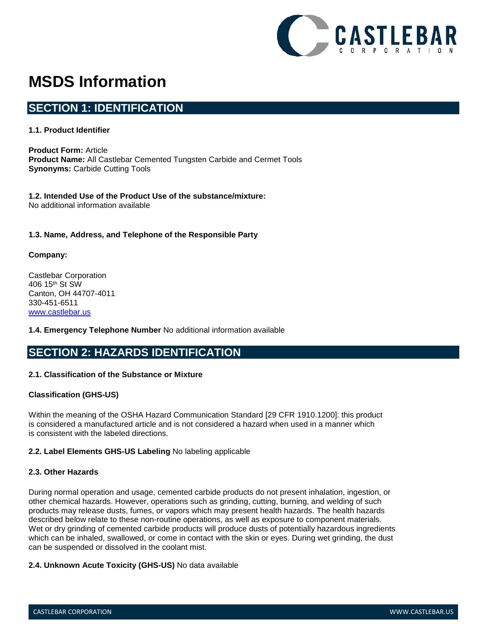

# **MSDS Information**

# **SECTION 1: IDENTIFICATION**

### **1.1. Product Identifier**

**Product Form:** Article **Product Name:** All Castlebar Cemented Tungsten Carbide and Cermet Tools **Synonyms:** Carbide Cutting Tools

**1.2. Intended Use of the Product Use of the substance/mixture:** No additional information available

## **1.3. Name, Address, and Telephone of the Responsible Party**

### **Company:**

Castlebar Corporation 406 15th St SW Canton, OH 44707-4011 330-451-6511 [www.castlebar.us](http://www.castlebar.us/)

### **1.4. Emergency Telephone Number** No additional information available

# **SECTION 2: HAZARDS IDENTIFICATION**

### **2.1. Classification of the Substance or Mixture**

### **Classification (GHS-US)**

Within the meaning of the OSHA Hazard Communication Standard [29 CFR 1910.1200]: this product is considered a manufactured article and is not considered a hazard when used in a manner which is consistent with the labeled directions.

### **2.2. Label Elements GHS-US Labeling** No labeling applicable

### **2.3. Other Hazards**

During normal operation and usage, cemented carbide products do not present inhalation, ingestion, or other chemical hazards. However, operations such as grinding, cutting, burning, and welding of such products may release dusts, fumes, or vapors which may present health hazards. The health hazards described below relate to these non-routine operations, as well as exposure to component materials. Wet or dry grinding of cemented carbide products will produce dusts of potentially hazardous ingredients which can be inhaled, swallowed, or come in contact with the skin or eyes. During wet grinding, the dust can be suspended or dissolved in the coolant mist.

### **2.4. Unknown Acute Toxicity (GHS-US)** No data available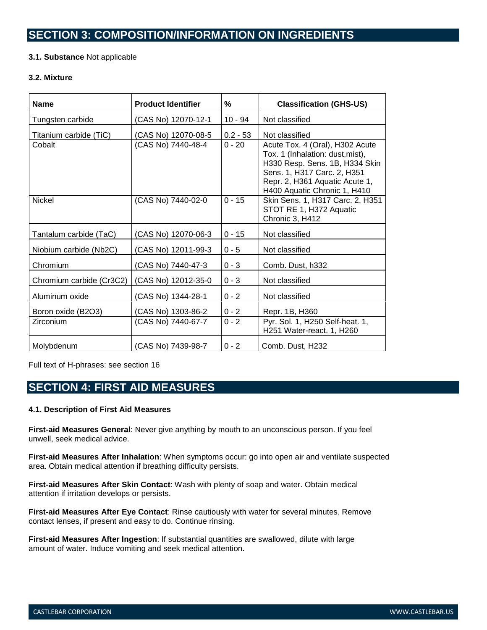# **SECTION 3: COMPOSITION/INFORMATION ON INGREDIENTS**

## **3.1. Substance** Not applicable

#### **3.2. Mixture**

| <b>Name</b>              | <b>Product Identifier</b> | %          | <b>Classification (GHS-US)</b>                                                                                                                                                                         |
|--------------------------|---------------------------|------------|--------------------------------------------------------------------------------------------------------------------------------------------------------------------------------------------------------|
| Tungsten carbide         | (CAS No) 12070-12-1       | $10 - 94$  | Not classified                                                                                                                                                                                         |
| Titanium carbide (TiC)   | (CAS No) 12070-08-5       | $0.2 - 53$ | Not classified                                                                                                                                                                                         |
| Cobalt                   | (CAS No) 7440-48-4        | $0 - 20$   | Acute Tox. 4 (Oral), H302 Acute<br>Tox. 1 (Inhalation: dust, mist),<br>H330 Resp. Sens. 1B, H334 Skin<br>Sens. 1, H317 Carc. 2, H351<br>Repr. 2, H361 Aquatic Acute 1,<br>H400 Aquatic Chronic 1, H410 |
| <b>Nickel</b>            | (CAS No) 7440-02-0        | $0 - 15$   | Skin Sens. 1, H317 Carc. 2, H351<br>STOT RE 1, H372 Aquatic<br>Chronic 3, H412                                                                                                                         |
| Tantalum carbide (TaC)   | (CAS No) 12070-06-3       | $0 - 15$   | Not classified                                                                                                                                                                                         |
| Niobium carbide (Nb2C)   | (CAS No) 12011-99-3       | $0 - 5$    | Not classified                                                                                                                                                                                         |
| Chromium                 | (CAS No) 7440-47-3        | $0 - 3$    | Comb. Dust, h332                                                                                                                                                                                       |
| Chromium carbide (Cr3C2) | (CAS No) 12012-35-0       | $0 - 3$    | Not classified                                                                                                                                                                                         |
| Aluminum oxide           | (CAS No) 1344-28-1        | $0 - 2$    | Not classified                                                                                                                                                                                         |
| Boron oxide (B2O3)       | (CAS No) 1303-86-2        | $0 - 2$    | Repr. 1B, H360                                                                                                                                                                                         |
| Zirconium                | (CAS No) 7440-67-7        | $0 - 2$    | Pyr. Sol. 1, H250 Self-heat. 1,<br>H251 Water-react. 1, H260                                                                                                                                           |
| Molybdenum               | (CAS No) 7439-98-7        | $0 - 2$    | Comb. Dust, H232                                                                                                                                                                                       |

Full text of H-phrases: see section 16

# **SECTION 4: FIRST AID MEASURES**

### **4.1. Description of First Aid Measures**

**First-aid Measures General**: Never give anything by mouth to an unconscious person. If you feel unwell, seek medical advice.

**First-aid Measures After Inhalation**: When symptoms occur: go into open air and ventilate suspected area. Obtain medical attention if breathing difficulty persists.

**First-aid Measures After Skin Contact**: Wash with plenty of soap and water. Obtain medical attention if irritation develops or persists.

**First-aid Measures After Eye Contact**: Rinse cautiously with water for several minutes. Remove contact lenses, if present and easy to do. Continue rinsing.

**First-aid Measures After Ingestion**: If substantial quantities are swallowed, dilute with large amount of water. Induce vomiting and seek medical attention.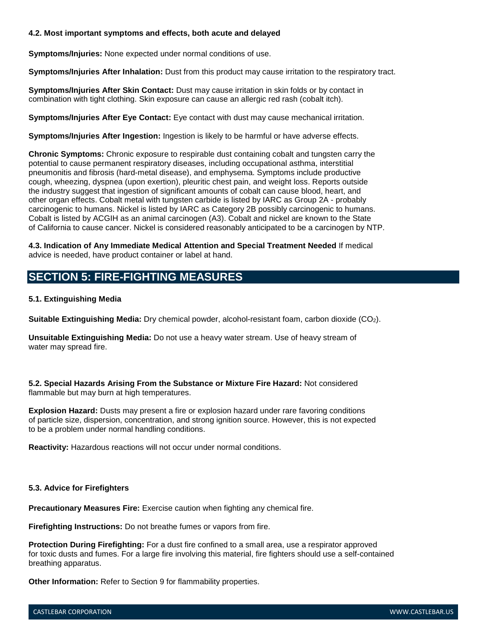### **4.2. Most important symptoms and effects, both acute and delayed**

**Symptoms/Injuries:** None expected under normal conditions of use.

**Symptoms/Injuries After Inhalation:** Dust from this product may cause irritation to the respiratory tract.

**Symptoms/Injuries After Skin Contact:** Dust may cause irritation in skin folds or by contact in combination with tight clothing. Skin exposure can cause an allergic red rash (cobalt itch).

**Symptoms/Injuries After Eye Contact:** Eye contact with dust may cause mechanical irritation.

**Symptoms/Injuries After Ingestion:** Ingestion is likely to be harmful or have adverse effects.

**Chronic Symptoms:** Chronic exposure to respirable dust containing cobalt and tungsten carry the potential to cause permanent respiratory diseases, including occupational asthma, interstitial pneumonitis and fibrosis (hard-metal disease), and emphysema. Symptoms include productive cough, wheezing, dyspnea (upon exertion), pleuritic chest pain, and weight loss. Reports outside the industry suggest that ingestion of significant amounts of cobalt can cause blood, heart, and other organ effects. Cobalt metal with tungsten carbide is listed by IARC as Group 2A - probably carcinogenic to humans. Nickel is listed by IARC as Category 2B possibly carcinogenic to humans. Cobalt is listed by ACGIH as an animal carcinogen (A3). Cobalt and nickel are known to the State of California to cause cancer. Nickel is considered reasonably anticipated to be a carcinogen by NTP.

**4.3. Indication of Any Immediate Medical Attention and Special Treatment Needed** If medical advice is needed, have product container or label at hand.

# **SECTION 5: FIRE-FIGHTING MEASURES**

## **5.1. Extinguishing Media**

**Suitable Extinguishing Media:** Dry chemical powder, alcohol-resistant foam, carbon dioxide (CO2).

**Unsuitable Extinguishing Media:** Do not use a heavy water stream. Use of heavy stream of water may spread fire.

**5.2. Special Hazards Arising From the Substance or Mixture Fire Hazard:** Not considered flammable but may burn at high temperatures.

**Explosion Hazard:** Dusts may present a fire or explosion hazard under rare favoring conditions of particle size, dispersion, concentration, and strong ignition source. However, this is not expected to be a problem under normal handling conditions.

**Reactivity:** Hazardous reactions will not occur under normal conditions.

### **5.3. Advice for Firefighters**

**Precautionary Measures Fire:** Exercise caution when fighting any chemical fire.

**Firefighting Instructions:** Do not breathe fumes or vapors from fire.

**Protection During Firefighting:** For a dust fire confined to a small area, use a respirator approved for toxic dusts and fumes. For a large fire involving this material, fire fighters should use a self-contained breathing apparatus.

**Other Information:** Refer to Section 9 for flammability properties.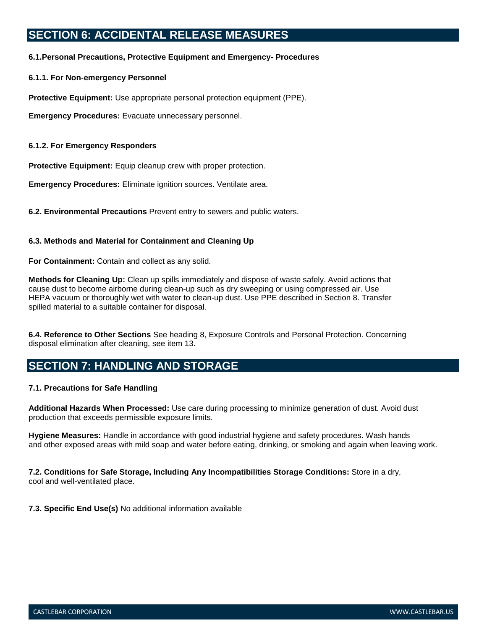# **SECTION 6: ACCIDENTAL RELEASE MEASURES**

## **6.1.Personal Precautions, Protective Equipment and Emergency- Procedures**

### **6.1.1. For Non-emergency Personnel**

**Protective Equipment:** Use appropriate personal protection equipment (PPE).

**Emergency Procedures:** Evacuate unnecessary personnel.

### **6.1.2. For Emergency Responders**

**Protective Equipment:** Equip cleanup crew with proper protection.

**Emergency Procedures:** Eliminate ignition sources. Ventilate area.

**6.2. Environmental Precautions** Prevent entry to sewers and public waters.

## **6.3. Methods and Material for Containment and Cleaning Up**

**For Containment:** Contain and collect as any solid.

**Methods for Cleaning Up:** Clean up spills immediately and dispose of waste safely. Avoid actions that cause dust to become airborne during clean-up such as dry sweeping or using compressed air. Use HEPA vacuum or thoroughly wet with water to clean-up dust. Use PPE described in Section 8. Transfer spilled material to a suitable container for disposal.

**6.4. Reference to Other Sections** See heading 8, Exposure Controls and Personal Protection. Concerning disposal elimination after cleaning, see item 13.

# **SECTION 7: HANDLING AND STORAGE**

### **7.1. Precautions for Safe Handling**

**Additional Hazards When Processed:** Use care during processing to minimize generation of dust. Avoid dust production that exceeds permissible exposure limits.

**Hygiene Measures:** Handle in accordance with good industrial hygiene and safety procedures. Wash hands and other exposed areas with mild soap and water before eating, drinking, or smoking and again when leaving work.

**7.2. Conditions for Safe Storage, Including Any Incompatibilities Storage Conditions:** Store in a dry, cool and well-ventilated place.

**7.3. Specific End Use(s)** No additional information available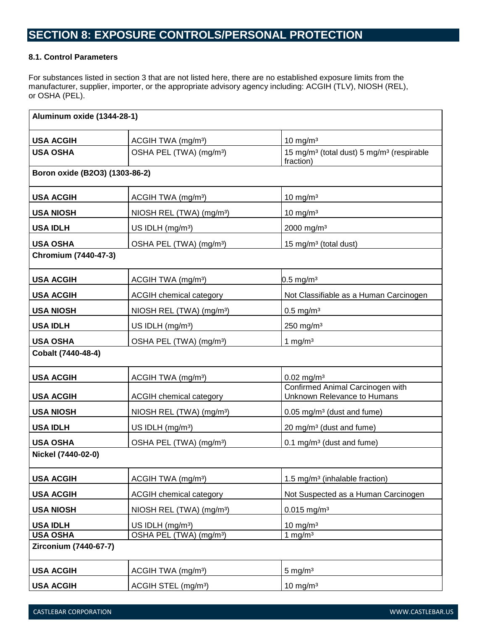# **SECTION 8: EXPOSURE CONTROLS/PERSONAL PROTECTION**

# **8.1. Control Parameters**

For substances listed in section 3 that are not listed here, there are no established exposure limits from the manufacturer, supplier, importer, or the appropriate advisory agency including: ACGIH (TLV), NIOSH (REL), or OSHA (PEL).

| Aluminum oxide (1344-28-1)     |                                      |                                                                                |
|--------------------------------|--------------------------------------|--------------------------------------------------------------------------------|
| <b>USA ACGIH</b>               | ACGIH TWA (mg/m <sup>3</sup> )       | 10 mg/m $3$                                                                    |
| <b>USA OSHA</b>                | OSHA PEL (TWA) (mg/m <sup>3</sup> )  | 15 mg/m <sup>3</sup> (total dust) 5 mg/m <sup>3</sup> (respirable<br>fraction) |
| Boron oxide (B2O3) (1303-86-2) |                                      |                                                                                |
| <b>USA ACGIH</b>               | ACGIH TWA (mg/m <sup>3</sup> )       | 10 mg/m $3$                                                                    |
| <b>USA NIOSH</b>               | NIOSH REL (TWA) (mg/m <sup>3</sup> ) | 10 mg/m $3$                                                                    |
| <b>USA IDLH</b>                | US IDLH (mg/m <sup>3</sup> )         | 2000 mg/m <sup>3</sup>                                                         |
| <b>USA OSHA</b>                | OSHA PEL (TWA) (mg/m <sup>3</sup> )  | 15 mg/m <sup>3</sup> (total dust)                                              |
| Chromium (7440-47-3)           |                                      |                                                                                |
| <b>USA ACGIH</b>               | ACGIH TWA (mg/m <sup>3</sup> )       | $0.5 \,\mathrm{mg/m^3}$                                                        |
| <b>USA ACGIH</b>               | <b>ACGIH chemical category</b>       | Not Classifiable as a Human Carcinogen                                         |
| <b>USA NIOSH</b>               | NIOSH REL (TWA) (mg/m <sup>3</sup> ) | $0.5$ mg/m <sup>3</sup>                                                        |
| <b>USA IDLH</b>                | US IDLH (mg/m <sup>3</sup> )         | 250 mg/m <sup>3</sup>                                                          |
| <b>USA OSHA</b>                | OSHA PEL (TWA) (mg/m <sup>3</sup> )  | 1 mg/ $m3$                                                                     |
| Cobalt (7440-48-4)             |                                      |                                                                                |
| <b>USA ACGIH</b>               | ACGIH TWA (mg/m <sup>3</sup> )       | $0.02$ mg/m <sup>3</sup>                                                       |
| <b>USA ACGIH</b>               | <b>ACGIH chemical category</b>       | Confirmed Animal Carcinogen with<br>Unknown Relevance to Humans                |
| <b>USA NIOSH</b>               | NIOSH REL (TWA) (mg/m <sup>3</sup> ) | 0.05 mg/m <sup>3</sup> (dust and fume)                                         |
| <b>USA IDLH</b>                | US IDLH (mg/m <sup>3</sup> )         | 20 mg/m <sup>3</sup> (dust and fume)                                           |
| <b>USA OSHA</b>                | OSHA PEL (TWA) (mg/m <sup>3</sup> )  | $0.1 \text{ mg/m}^3$ (dust and fume)                                           |
| Nickel (7440-02-0)             |                                      |                                                                                |
| <b>USA ACGIH</b>               | ACGIH TWA (mg/m <sup>3</sup> )       | 1.5 mg/m <sup>3</sup> (inhalable fraction)                                     |
| <b>USA ACGIH</b>               | <b>ACGIH chemical category</b>       | Not Suspected as a Human Carcinogen                                            |
| <b>USA NIOSH</b>               | NIOSH REL (TWA) (mg/m <sup>3</sup> ) | $0.015$ mg/m <sup>3</sup>                                                      |
| <b>USA IDLH</b>                | US IDLH (mg/m <sup>3</sup> )         | $10 \text{ mg/m}^3$                                                            |
| <b>USA OSHA</b>                | OSHA PEL (TWA) (mg/m <sup>3</sup> )  | 1 mg/m $3$                                                                     |
| Zirconium (7440-67-7)          |                                      |                                                                                |
| <b>USA ACGIH</b>               | ACGIH TWA (mg/m <sup>3</sup> )       | $5 \text{ mg/m}^3$                                                             |
| <b>USA ACGIH</b>               | ACGIH STEL (mg/m <sup>3</sup> )      | 10 mg/m $3$                                                                    |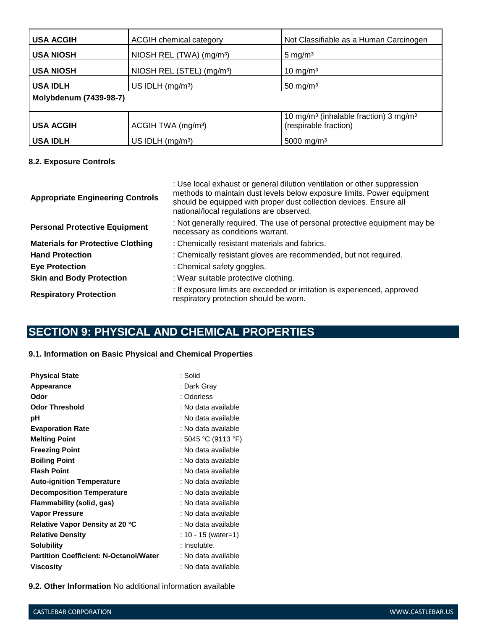| <b>USA ACGIH</b>       | ACGIH chemical category               | Not Classifiable as a Human Carcinogen                                                 |
|------------------------|---------------------------------------|----------------------------------------------------------------------------------------|
| <b>USA NIOSH</b>       | NIOSH REL (TWA) (mg/m <sup>3</sup> )  | $5 \text{ mg/m}^3$                                                                     |
| <b>USA NIOSH</b>       | NIOSH REL (STEL) (mg/m <sup>3</sup> ) | 10 mg/m $3$                                                                            |
| <b>USA IDLH</b>        | US IDLH $(mg/m3)$                     | 50 mg/m $3$                                                                            |
| Molybdenum (7439-98-7) |                                       |                                                                                        |
| <b>USA ACGIH</b>       | ACGIH TWA (mg/m <sup>3</sup> )        | 10 mg/m <sup>3</sup> (inhalable fraction) 3 mg/m <sup>3</sup><br>(respirable fraction) |
| <b>USA IDLH</b>        | US IDLH (mg/m <sup>3</sup> )          | 5000 mg/m <sup>3</sup>                                                                 |

# **8.2. Exposure Controls**

| <b>Appropriate Engineering Controls</b>  | : Use local exhaust or general dilution ventilation or other suppression<br>methods to maintain dust levels below exposure limits. Power equipment<br>should be equipped with proper dust collection devices. Ensure all<br>national/local regulations are observed. |  |
|------------------------------------------|----------------------------------------------------------------------------------------------------------------------------------------------------------------------------------------------------------------------------------------------------------------------|--|
| <b>Personal Protective Equipment</b>     | : Not generally required. The use of personal protective equipment may be<br>necessary as conditions warrant.                                                                                                                                                        |  |
| <b>Materials for Protective Clothing</b> | : Chemically resistant materials and fabrics.                                                                                                                                                                                                                        |  |
| <b>Hand Protection</b>                   | : Chemically resistant gloves are recommended, but not required.                                                                                                                                                                                                     |  |
| <b>Eye Protection</b>                    | : Chemical safety goggles.                                                                                                                                                                                                                                           |  |
| <b>Skin and Body Protection</b>          | : Wear suitable protective clothing.                                                                                                                                                                                                                                 |  |
| <b>Respiratory Protection</b>            | : If exposure limits are exceeded or irritation is experienced, approved<br>respiratory protection should be worn.                                                                                                                                                   |  |

# **SECTION 9: PHYSICAL AND CHEMICAL PROPERTIES**

## **9.1. Information on Basic Physical and Chemical Properties**

| <b>Physical State</b>                         | : Solid             |
|-----------------------------------------------|---------------------|
| Appearance                                    | : Dark Gray         |
| Odor                                          | : Odorless          |
| Odor Threshold                                | : No data available |
| рH                                            | : No data available |
| <b>Evaporation Rate</b>                       | : No data available |
| <b>Melting Point</b>                          | : 5045 °C (9113 °F) |
| <b>Freezing Point</b>                         | : No data available |
| <b>Boiling Point</b>                          | : No data available |
| <b>Flash Point</b>                            | : No data available |
| <b>Auto-ignition Temperature</b>              | : No data available |
| <b>Decomposition Temperature</b>              | : No data available |
| Flammability (solid, gas)                     | : No data available |
| <b>Vapor Pressure</b>                         | : No data available |
| <b>Relative Vapor Density at 20 °C</b>        | : No data available |
| <b>Relative Density</b>                       | : 10 - 15 (water=1) |
| <b>Solubility</b>                             | : Insoluble.        |
| <b>Partition Coefficient: N-Octanol/Water</b> | : No data available |
| Viscosity                                     | : No data available |

**9.2. Other Information** No additional information available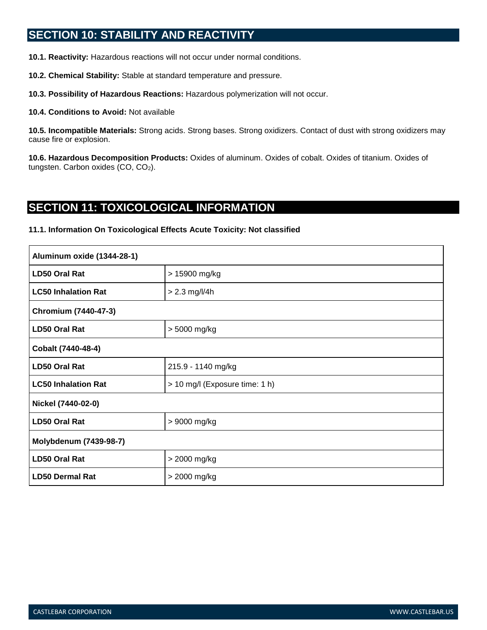# **SECTION 10: STABILITY AND REACTIVITY**

**10.1. Reactivity:** Hazardous reactions will not occur under normal conditions.

**10.2. Chemical Stability:** Stable at standard temperature and pressure.

**10.3. Possibility of Hazardous Reactions:** Hazardous polymerization will not occur.

**10.4. Conditions to Avoid:** Not available

**10.5. Incompatible Materials:** Strong acids. Strong bases. Strong oxidizers. Contact of dust with strong oxidizers may cause fire or explosion.

**10.6. Hazardous Decomposition Products:** Oxides of aluminum. Oxides of cobalt. Oxides of titanium. Oxides of tungsten. Carbon oxides (CO, CO<sub>2</sub>).

# **SECTION 11: TOXICOLOGICAL INFORMATION**

#### **11.1. Information On Toxicological Effects Acute Toxicity: Not classified**

| Aluminum oxide (1344-28-1) |                                |  |
|----------------------------|--------------------------------|--|
| LD50 Oral Rat              | > 15900 mg/kg                  |  |
| <b>LC50 Inhalation Rat</b> | $> 2.3$ mg/l/4h                |  |
| Chromium (7440-47-3)       |                                |  |
| <b>LD50 Oral Rat</b>       | > 5000 mg/kg                   |  |
| Cobalt (7440-48-4)         |                                |  |
| <b>LD50 Oral Rat</b>       | 215.9 - 1140 mg/kg             |  |
| <b>LC50 Inhalation Rat</b> | > 10 mg/l (Exposure time: 1 h) |  |
| Nickel (7440-02-0)         |                                |  |
| <b>LD50 Oral Rat</b>       | > 9000 mg/kg                   |  |
| Molybdenum (7439-98-7)     |                                |  |
| <b>LD50 Oral Rat</b>       | > 2000 mg/kg                   |  |
| <b>LD50 Dermal Rat</b>     | > 2000 mg/kg                   |  |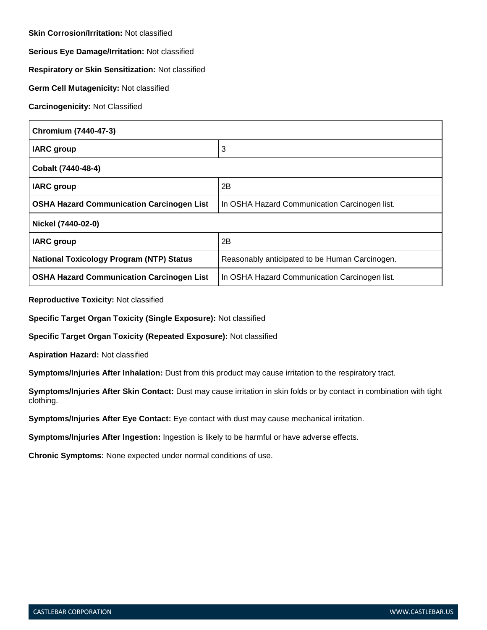**Skin Corrosion/Irritation:** Not classified

**Serious Eye Damage/Irritation:** Not classified

**Respiratory or Skin Sensitization:** Not classified

**Germ Cell Mutagenicity:** Not classified

**Carcinogenicity:** Not Classified

| Chromium (7440-47-3)                             |                                                |  |
|--------------------------------------------------|------------------------------------------------|--|
| <b>IARC</b> group                                | 3                                              |  |
| Cobalt (7440-48-4)                               |                                                |  |
| <b>IARC</b> group                                | 2Β                                             |  |
| <b>OSHA Hazard Communication Carcinogen List</b> | In OSHA Hazard Communication Carcinogen list.  |  |
| Nickel (7440-02-0)                               |                                                |  |
| <b>IARC</b> group                                | 2B                                             |  |
| <b>National Toxicology Program (NTP) Status</b>  | Reasonably anticipated to be Human Carcinogen. |  |
| <b>OSHA Hazard Communication Carcinogen List</b> | In OSHA Hazard Communication Carcinogen list.  |  |

**Reproductive Toxicity:** Not classified

**Specific Target Organ Toxicity (Single Exposure):** Not classified

**Specific Target Organ Toxicity (Repeated Exposure):** Not classified

**Aspiration Hazard:** Not classified

**Symptoms/Injuries After Inhalation:** Dust from this product may cause irritation to the respiratory tract.

**Symptoms/Injuries After Skin Contact:** Dust may cause irritation in skin folds or by contact in combination with tight clothing.

**Symptoms/Injuries After Eye Contact:** Eye contact with dust may cause mechanical irritation.

**Symptoms/Injuries After Ingestion:** Ingestion is likely to be harmful or have adverse effects.

**Chronic Symptoms:** None expected under normal conditions of use.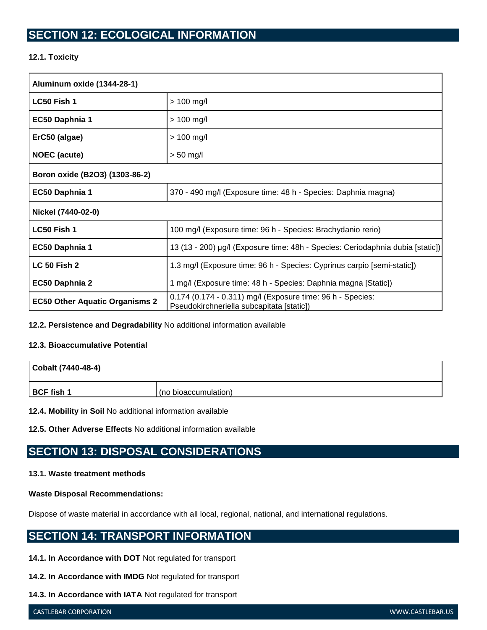# **SECTION 12: ECOLOGICAL INFORMATION**

# **12.1. Toxicity**

| Aluminum oxide (1344-28-1)            |                                                                                                         |  |
|---------------------------------------|---------------------------------------------------------------------------------------------------------|--|
| LC50 Fish 1                           | $> 100$ mg/l                                                                                            |  |
| EC50 Daphnia 1                        | $> 100$ mg/l                                                                                            |  |
| ErC50 (algae)                         | $> 100$ mg/l                                                                                            |  |
| <b>NOEC</b> (acute)                   | $> 50$ mg/l                                                                                             |  |
| Boron oxide (B2O3) (1303-86-2)        |                                                                                                         |  |
| EC50 Daphnia 1                        | 370 - 490 mg/l (Exposure time: 48 h - Species: Daphnia magna)                                           |  |
| Nickel (7440-02-0)                    |                                                                                                         |  |
| LC50 Fish 1                           | 100 mg/l (Exposure time: 96 h - Species: Brachydanio rerio)                                             |  |
| EC50 Daphnia 1                        | 13 (13 - 200) µg/l (Exposure time: 48h - Species: Ceriodaphnia dubia [static])                          |  |
| <b>LC 50 Fish 2</b>                   | 1.3 mg/l (Exposure time: 96 h - Species: Cyprinus carpio [semi-static])                                 |  |
| EC50 Daphnia 2                        | 1 mg/l (Exposure time: 48 h - Species: Daphnia magna [Static])                                          |  |
| <b>EC50 Other Aquatic Organisms 2</b> | 0.174 (0.174 - 0.311) mg/l (Exposure time: 96 h - Species:<br>Pseudokirchneriella subcapitata [static]) |  |

**12.2. Persistence and Degradability** No additional information available

# **12.3. Bioaccumulative Potential**

| Cobalt (7440-48-4) |                      |
|--------------------|----------------------|
| BCF fish 1         | (no bioaccumulation) |

**12.4. Mobility in Soil** No additional information available

**12.5. Other Adverse Effects** No additional information available

# **SECTION 13: DISPOSAL CONSIDERATIONS**

# **13.1. Waste treatment methods**

### **Waste Disposal Recommendations:**

Dispose of waste material in accordance with all local, regional, national, and international regulations.

# **SECTION 14: TRANSPORT INFORMATION**

- **14.1. In Accordance with DOT** Not regulated for transport
- **14.2. In Accordance with IMDG** Not regulated for transport
- **14.3. In Accordance with IATA** Not regulated for transport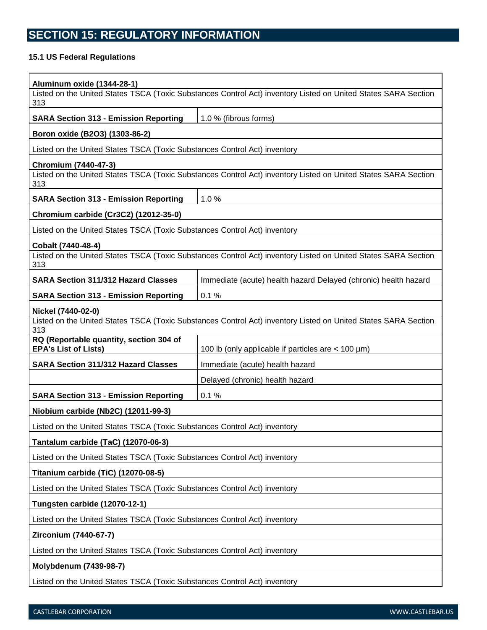# **SECTION 15: REGULATORY INFORMATION**

# **15.1 US Federal Regulations**

| <b>Aluminum oxide (1344-28-1)</b>                                                                                     |                                                                                                                |  |
|-----------------------------------------------------------------------------------------------------------------------|----------------------------------------------------------------------------------------------------------------|--|
| Listed on the United States TSCA (Toxic Substances Control Act) inventory Listed on United States SARA Section<br>313 |                                                                                                                |  |
| <b>SARA Section 313 - Emission Reporting</b>                                                                          | 1.0 % (fibrous forms)                                                                                          |  |
| Boron oxide (B2O3) (1303-86-2)                                                                                        |                                                                                                                |  |
| Listed on the United States TSCA (Toxic Substances Control Act) inventory                                             |                                                                                                                |  |
| Chromium (7440-47-3)<br>313                                                                                           | Listed on the United States TSCA (Toxic Substances Control Act) inventory Listed on United States SARA Section |  |
| <b>SARA Section 313 - Emission Reporting</b>                                                                          | 1.0%                                                                                                           |  |
| Chromium carbide (Cr3C2) (12012-35-0)                                                                                 |                                                                                                                |  |
| Listed on the United States TSCA (Toxic Substances Control Act) inventory                                             |                                                                                                                |  |
| Cobalt (7440-48-4)                                                                                                    |                                                                                                                |  |
| 313                                                                                                                   | Listed on the United States TSCA (Toxic Substances Control Act) inventory Listed on United States SARA Section |  |
| <b>SARA Section 311/312 Hazard Classes</b>                                                                            | Immediate (acute) health hazard Delayed (chronic) health hazard                                                |  |
| <b>SARA Section 313 - Emission Reporting</b>                                                                          | 0.1%                                                                                                           |  |
| Nickel (7440-02-0)                                                                                                    |                                                                                                                |  |
| 313                                                                                                                   | Listed on the United States TSCA (Toxic Substances Control Act) inventory Listed on United States SARA Section |  |
| RQ (Reportable quantity, section 304 of<br><b>EPA's List of Lists)</b>                                                | 100 lb (only applicable if particles are $<$ 100 $\mu$ m)                                                      |  |
| <b>SARA Section 311/312 Hazard Classes</b>                                                                            | Immediate (acute) health hazard                                                                                |  |
|                                                                                                                       | Delayed (chronic) health hazard                                                                                |  |
| <b>SARA Section 313 - Emission Reporting</b>                                                                          | 0.1%                                                                                                           |  |
| Niobium carbide (Nb2C) (12011-99-3)                                                                                   |                                                                                                                |  |
| Listed on the United States TSCA (Toxic Substances Control Act) inventory                                             |                                                                                                                |  |
| Tantalum carbide (TaC) (12070-06-3)                                                                                   |                                                                                                                |  |
| Listed on the United States TSCA (Toxic Substances Control Act) inventory                                             |                                                                                                                |  |
| <b>Titanium carbide (TiC) (12070-08-5)</b>                                                                            |                                                                                                                |  |
| Listed on the United States TSCA (Toxic Substances Control Act) inventory                                             |                                                                                                                |  |
| <b>Tungsten carbide (12070-12-1)</b>                                                                                  |                                                                                                                |  |
| Listed on the United States TSCA (Toxic Substances Control Act) inventory                                             |                                                                                                                |  |
| Zirconium (7440-67-7)                                                                                                 |                                                                                                                |  |
| Listed on the United States TSCA (Toxic Substances Control Act) inventory                                             |                                                                                                                |  |
| Molybdenum (7439-98-7)                                                                                                |                                                                                                                |  |
| Listed on the United States TSCA (Toxic Substances Control Act) inventory                                             |                                                                                                                |  |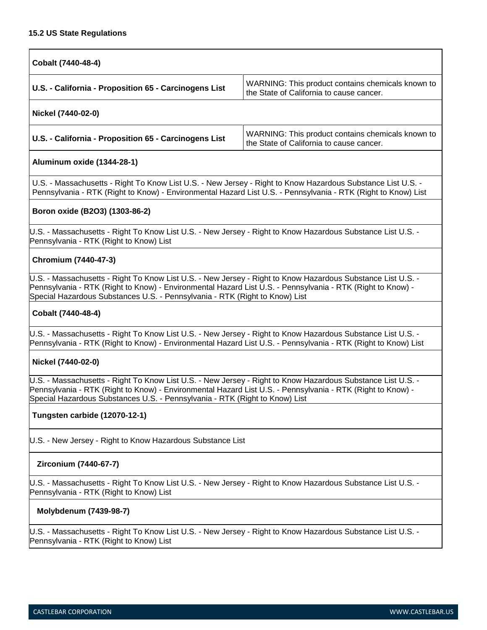### **15.2 US State Regulations**

| Cobalt (7440-48-4)                                    |                                                                                               |
|-------------------------------------------------------|-----------------------------------------------------------------------------------------------|
| U.S. - California - Proposition 65 - Carcinogens List | WARNING: This product contains chemicals known to<br>the State of California to cause cancer. |
| Nickel (7440-02-0)                                    |                                                                                               |

| U.S. - California - Proposition 65 - Carcinogens List | WARNING: This product contains chemicals known to<br>the State of California to cause cancer. |
|-------------------------------------------------------|-----------------------------------------------------------------------------------------------|
|-------------------------------------------------------|-----------------------------------------------------------------------------------------------|

### **Aluminum oxide (1344-28-1)**

U.S. - Massachusetts - Right To Know List U.S. - New Jersey - Right to Know Hazardous Substance List U.S. - Pennsylvania - RTK (Right to Know) - Environmental Hazard List U.S. - Pennsylvania - RTK (Right to Know) List

### **Boron oxide (B2O3) (1303-86-2)**

U.S. - Massachusetts - Right To Know List U.S. - New Jersey - Right to Know Hazardous Substance List U.S. - Pennsylvania - RTK (Right to Know) List

## **Chromium (7440-47-3)**

U.S. - Massachusetts - Right To Know List U.S. - New Jersey - Right to Know Hazardous Substance List U.S. - Pennsylvania - RTK (Right to Know) - Environmental Hazard List U.S. - Pennsylvania - RTK (Right to Know) - Special Hazardous Substances U.S. - Pennsylvania - RTK (Right to Know) List

## **Cobalt (7440-48-4)**

U.S. - Massachusetts - Right To Know List U.S. - New Jersey - Right to Know Hazardous Substance List U.S. - Pennsylvania - RTK (Right to Know) - Environmental Hazard List U.S. - Pennsylvania - RTK (Right to Know) List

### **Nickel (7440-02-0)**

U.S. - Massachusetts - Right To Know List U.S. - New Jersey - Right to Know Hazardous Substance List U.S. - Pennsylvania - RTK (Right to Know) - Environmental Hazard List U.S. - Pennsylvania - RTK (Right to Know) - Special Hazardous Substances U.S. - Pennsylvania - RTK (Right to Know) List

### **Tungsten carbide (12070-12-1)**

U.S. - New Jersey - Right to Know Hazardous Substance List

### **Zirconium (7440-67-7)**

U.S. - Massachusetts - Right To Know List U.S. - New Jersey - Right to Know Hazardous Substance List U.S. - Pennsylvania - RTK (Right to Know) List

### **Molybdenum (7439-98-7)**

U.S. - Massachusetts - Right To Know List U.S. - New Jersey - Right to Know Hazardous Substance List U.S. - Pennsylvania - RTK (Right to Know) List